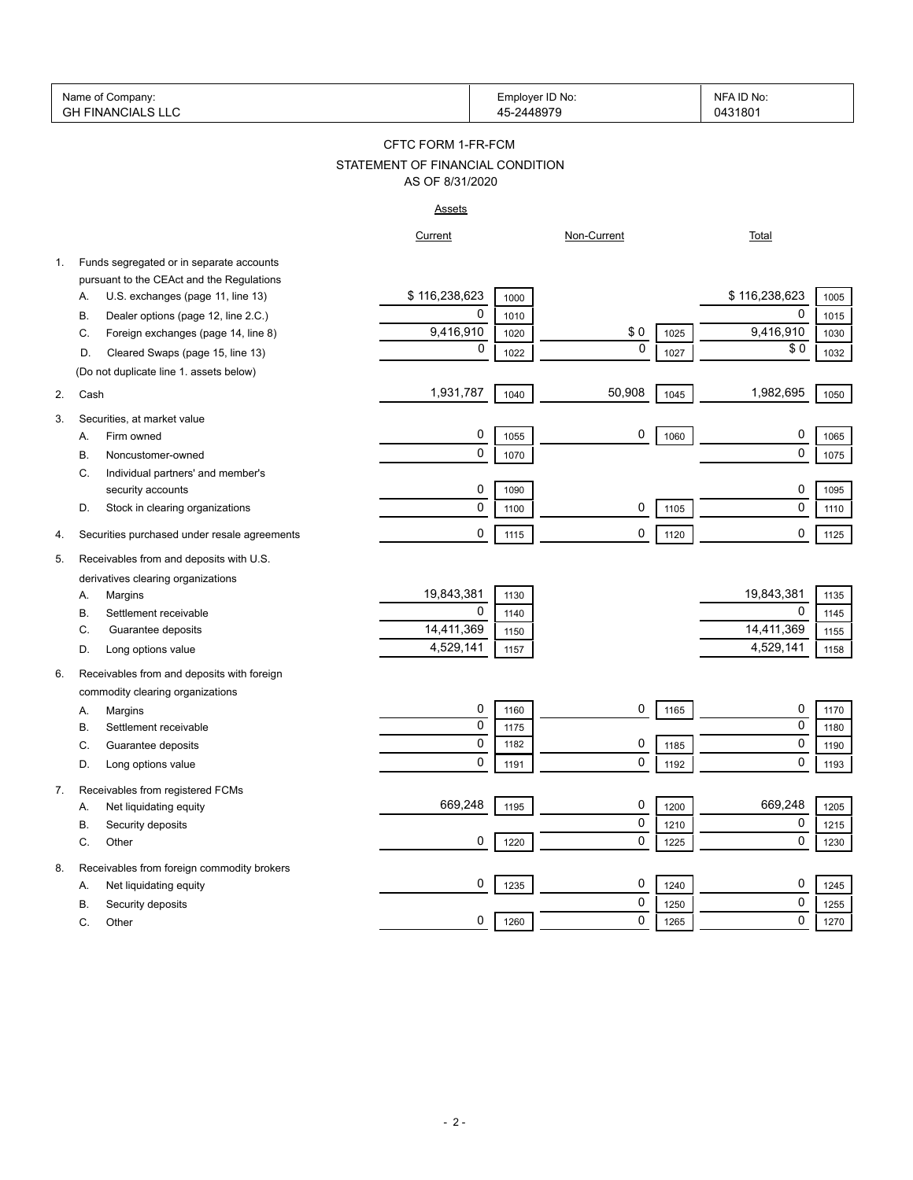| Name<br>Company:<br>ി വ                   | ID No:<br>⊏mplover | <b>NFA</b><br>:ID No |
|-------------------------------------------|--------------------|----------------------|
|                                           |                    |                      |
| $\sqrt{2}$<br>INANC<br>GН<br>$\mathbf{v}$ |                    | 31801<br>04          |

## STATEMENT OF FINANCIAL CONDITION CFTC FORM 1-FR-FCM AS OF 8/31/2020

# Assets

|    |                                                                                       | <b>ASSELS</b>   |              |              |      |                            |              |
|----|---------------------------------------------------------------------------------------|-----------------|--------------|--------------|------|----------------------------|--------------|
|    |                                                                                       | Current         |              | Non-Current  |      | Total                      |              |
| 1. | Funds segregated or in separate accounts<br>pursuant to the CEAct and the Regulations |                 |              |              |      |                            |              |
|    | U.S. exchanges (page 11, line 13)<br>А.                                               | \$116,238,623   | 1000         |              |      | \$116,238,623              | 1005         |
|    | Dealer options (page 12, line 2.C.)<br>В.                                             | 0               | 1010         |              |      | $\mathbf 0$                | 1015         |
|    | C.<br>Foreign exchanges (page 14, line 8)                                             | 9,416,910       | 1020         | \$0          | 1025 | 9,416,910                  | 1030         |
|    | D.<br>Cleared Swaps (page 15, line 13)                                                | $\mathbf 0$     | 1022         | $\mathbf{0}$ | 1027 | \$0                        | 1032         |
|    | (Do not duplicate line 1. assets below)                                               |                 |              |              |      |                            |              |
| 2. | Cash                                                                                  | 1,931,787       | 1040         | 50,908       | 1045 | 1,982,695                  | 1050         |
| 3. | Securities, at market value                                                           |                 |              |              |      |                            |              |
|    | Firm owned<br>Α.                                                                      | 0               | 1055         | 0            | 1060 | 0                          | 1065         |
|    | Noncustomer-owned<br>В.                                                               | 0               | 1070         |              |      | $\mathbf 0$                | 1075         |
|    | C.<br>Individual partners' and member's                                               |                 |              |              |      |                            |              |
|    | security accounts                                                                     | 0               | 1090         |              |      | $\mathbf 0$                | 1095         |
|    | D.<br>Stock in clearing organizations                                                 | 0               | 1100         | 0            | 1105 | $\mathbf 0$                | 1110         |
| 4. | Securities purchased under resale agreements                                          | 0               | 1115         | 0            | 1120 | $\mathbf 0$                | 1125         |
| 5. | Receivables from and deposits with U.S.                                               |                 |              |              |      |                            |              |
|    | derivatives clearing organizations                                                    |                 |              |              |      |                            |              |
|    | А.<br>Margins                                                                         | 19,843,381      | 1130         |              |      | 19,843,381                 | 1135         |
|    | В.<br>Settlement receivable<br>C.                                                     | 0<br>14,411,369 | 1140         |              |      | $\mathbf 0$<br>14,411,369  | 1145         |
|    | Guarantee deposits<br>Long options value<br>D.                                        | 4,529,141       | 1150<br>1157 |              |      | 4,529,141                  | 1155<br>1158 |
|    |                                                                                       |                 |              |              |      |                            |              |
| 6. | Receivables from and deposits with foreign<br>commodity clearing organizations        |                 |              |              |      |                            |              |
|    | Margins<br>А.                                                                         | 0               | 1160         | 0            | 1165 | 0                          | 1170         |
|    | В.<br>Settlement receivable                                                           | $\pmb{0}$       | 1175         |              |      | $\mathbf 0$                | 1180         |
|    | C.<br>Guarantee deposits                                                              | 0               | 1182         | 0            | 1185 | $\pmb{0}$                  | 1190         |
|    | Long options value<br>D.                                                              | 0               | 1191         | 0            | 1192 | $\mathbf 0$                | 1193         |
| 7. | Receivables from registered FCMs                                                      |                 |              |              |      |                            |              |
|    | Net liquidating equity<br>А.                                                          | 669,248         | 1195         | 0            | 1200 | 669,248                    | 1205         |
|    | Security deposits<br>В.                                                               |                 |              | 0            | 1210 | $\mathbf 0$                | 1215         |
|    | Other<br>С.                                                                           | 0               | 1220         | 0            | 1225 | $\mathbf 0$                | 1230         |
| 8. | Receivables from foreign commodity brokers                                            |                 |              |              |      |                            |              |
|    | Net liquidating equity<br>А.                                                          | 0               | 1235         | 0            | 1240 | 0                          | 1245         |
|    | Security deposits<br>В.                                                               | 0               |              | 0<br>0       | 1250 | $\mathbf 0$<br>$\mathbf 0$ | 1255         |
|    | C.<br>Other                                                                           |                 | 1260         |              | 1265 |                            | 1270         |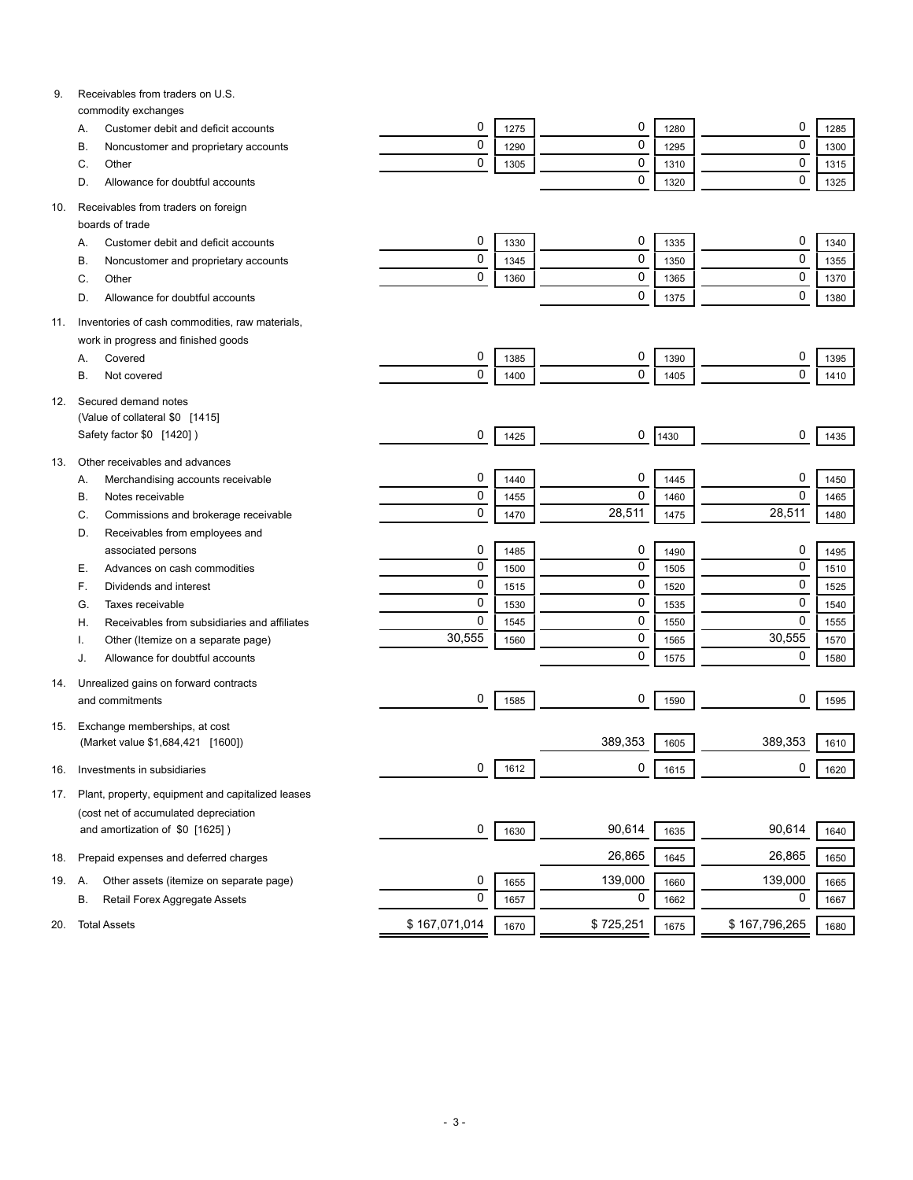| 9.  | Receivables from traders on U.S.                                      |                |      |           |              |               |              |
|-----|-----------------------------------------------------------------------|----------------|------|-----------|--------------|---------------|--------------|
|     | commodity exchanges                                                   | 0              |      | 0         |              | 0             |              |
|     | Customer debit and deficit accounts<br>А.                             | 0              | 1275 | 0         | 1280         | 0             | 1285         |
|     | В.<br>Noncustomer and proprietary accounts                            | 0              | 1290 | 0         | 1295         | 0             | 1300         |
|     | C.<br>Other                                                           |                | 1305 | 0         | 1310         | $\mathbf 0$   | 1315         |
|     | Allowance for doubtful accounts<br>D.                                 |                |      |           | 1320         |               | 1325         |
| 10. | Receivables from traders on foreign                                   |                |      |           |              |               |              |
|     | boards of trade                                                       |                |      |           |              |               |              |
|     | Customer debit and deficit accounts<br>А.                             | 0              | 1330 | 0         | 1335         | 0             | 1340         |
|     | В.<br>Noncustomer and proprietary accounts                            | 0              | 1345 | 0         | 1350         | 0             | 1355         |
|     | C.<br>Other                                                           | 0              | 1360 | 0         | 1365         | $\pmb{0}$     | 1370         |
|     | Allowance for doubtful accounts<br>D.                                 |                |      | 0         | 1375         | 0             | 1380         |
| 11. | Inventories of cash commodities, raw materials,                       |                |      |           |              |               |              |
|     | work in progress and finished goods                                   |                |      |           |              |               |              |
|     | Covered<br>А.                                                         | 0              | 1385 | 0         | 1390         | 0             | 1395         |
|     | В.<br>Not covered                                                     | 0              | 1400 | 0         | 1405         | $\mathbf 0$   | 1410         |
| 12. | Secured demand notes                                                  |                |      |           |              |               |              |
|     | (Value of collateral \$0 [1415]                                       |                |      |           |              |               |              |
|     | Safety factor \$0 [1420])                                             | 0              | 1425 | 0         | 1430         | 0             | 1435         |
| 13. | Other receivables and advances                                        |                |      |           |              |               |              |
|     | Α.<br>Merchandising accounts receivable                               | 0              | 1440 | 0         | 1445         | 0             | 1450         |
|     | В.<br>Notes receivable                                                | 0              | 1455 | 0         | 1460         | 0             | 1465         |
|     | Commissions and brokerage receivable<br>C.                            | 0              | 1470 | 28,511    | 1475         | 28,511        | 1480         |
|     | D.<br>Receivables from employees and                                  |                |      |           |              |               |              |
|     | associated persons                                                    | 0              | 1485 | 0         |              | 0             |              |
|     | Е.<br>Advances on cash commodities                                    | $\overline{0}$ | 1500 | 0         | 1490<br>1505 | 0             | 1495<br>1510 |
|     | F.<br>Dividends and interest                                          | 0              | 1515 | 0         | 1520         | 0             | 1525         |
|     | G.<br>Taxes receivable                                                | 0              | 1530 | 0         | 1535         | 0             | 1540         |
|     | Receivables from subsidiaries and affiliates<br>Η.                    | 0              |      | 0         |              | 0             |              |
|     |                                                                       | 30,555         | 1545 | 0         | 1550         | 30,555        | 1555         |
|     | Other (Itemize on a separate page)<br>Allowance for doubtful accounts |                | 1560 | 0         | 1565         | 0             | 1570<br>1580 |
|     | J.                                                                    |                |      |           | 1575         |               |              |
| 14. | Unrealized gains on forward contracts                                 |                |      | 0         |              |               |              |
|     | and commitments                                                       | 0              | 1585 |           | 1590         | 0             | 1595         |
| 15. | Exchange memberships, at cost                                         |                |      |           |              |               |              |
|     | (Market value \$1,684,421 [1600])                                     |                |      | 389,353   | 1605         | 389,353       | 1610         |
| 16. | Investments in subsidiaries                                           | 0              | 1612 | 0         | 1615         | 0             | 1620         |
| 17. | Plant, property, equipment and capitalized leases                     |                |      |           |              |               |              |
|     | (cost net of accumulated depreciation                                 |                |      |           |              |               |              |
|     | and amortization of \$0 [1625])                                       | 0              | 1630 | 90,614    | 1635         | 90,614        | 1640         |
| 18. | Prepaid expenses and deferred charges                                 |                |      | 26,865    | 1645         | 26,865        | 1650         |
| 19. | Other assets (itemize on separate page)<br>А.                         | 0              | 1655 | 139,000   | 1660         | 139,000       | 1665         |
|     | В.<br>Retail Forex Aggregate Assets                                   | 0              | 1657 | 0         | 1662         | 0             | 1667         |
|     |                                                                       |                |      |           |              |               |              |
| 20. | <b>Total Assets</b>                                                   | \$167,071,014  | 1670 | \$725,251 | 1675         | \$167,796,265 | 1680         |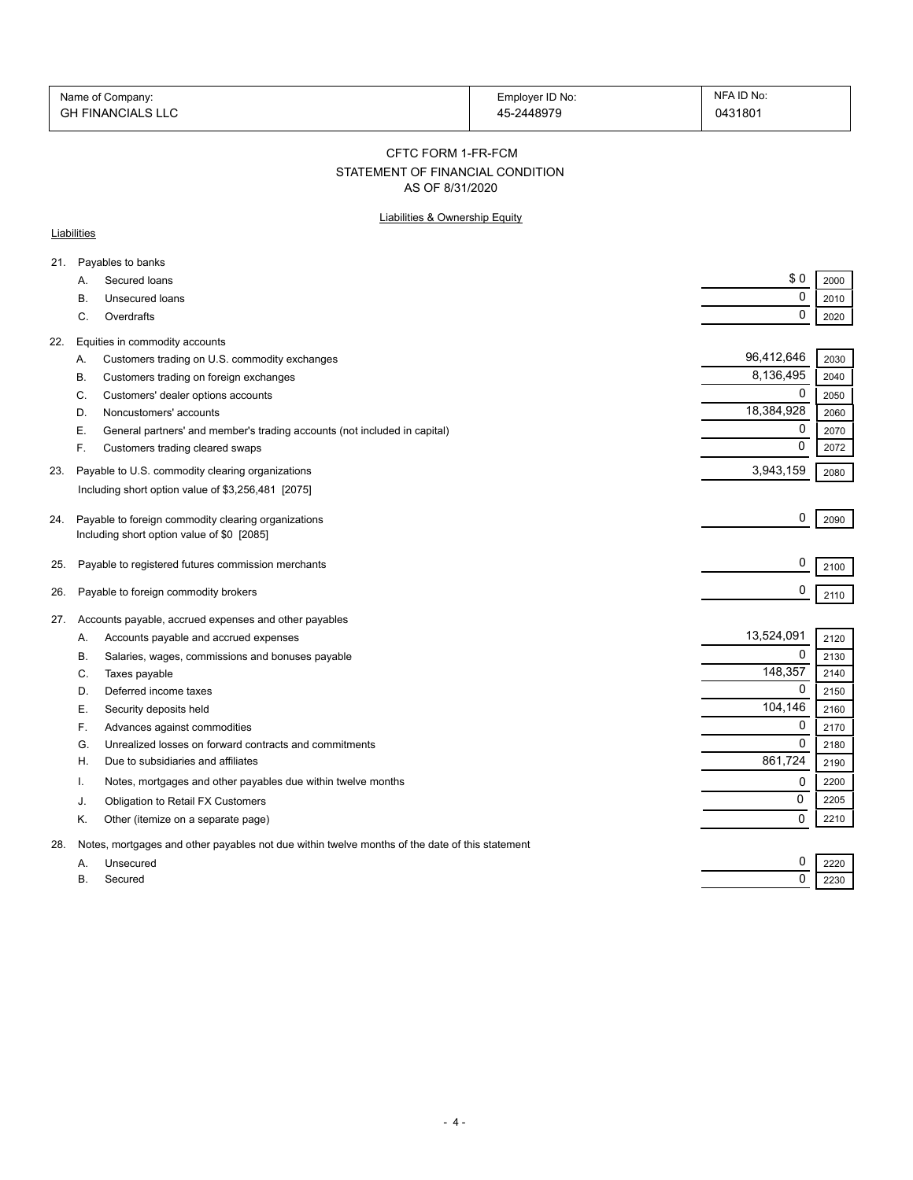| Name of Company:         | Employer ID No: | NFA ID No: |
|--------------------------|-----------------|------------|
| <b>GH FINANCIALS LLC</b> | 45-2448979      | 0431801    |

CFTC FORM 1-FR-FCM

#### STATEMENT OF FINANCIAL CONDITION

AS OF 8/31/2020

#### Liabilities & Ownership Equity

#### **Liabilities**

| 21. |    | Payables to banks                                                                              |             |      |
|-----|----|------------------------------------------------------------------------------------------------|-------------|------|
|     | А. | Secured loans                                                                                  | \$0         | 2000 |
|     | В. | <b>Unsecured loans</b>                                                                         | 0           | 2010 |
|     | C. | Overdrafts                                                                                     | $\mathbf 0$ | 2020 |
| 22. |    | Equities in commodity accounts                                                                 |             |      |
|     | А. | Customers trading on U.S. commodity exchanges                                                  | 96,412,646  | 2030 |
|     | В. | Customers trading on foreign exchanges                                                         | 8,136,495   | 2040 |
|     | C. | Customers' dealer options accounts                                                             | 0           | 2050 |
|     | D. | Noncustomers' accounts                                                                         | 18,384,928  | 2060 |
|     | Е. | General partners' and member's trading accounts (not included in capital)                      | 0           | 2070 |
|     | F. | Customers trading cleared swaps                                                                | $\mathbf 0$ | 2072 |
| 23. |    | Payable to U.S. commodity clearing organizations                                               | 3,943,159   | 2080 |
|     |    | Including short option value of \$3,256,481 [2075]                                             |             |      |
|     |    |                                                                                                |             |      |
| 24. |    | Payable to foreign commodity clearing organizations                                            | 0           | 2090 |
|     |    | Including short option value of \$0 [2085]                                                     |             |      |
| 25. |    | Payable to registered futures commission merchants                                             | 0           | 2100 |
|     |    |                                                                                                | 0           |      |
| 26. |    | Payable to foreign commodity brokers                                                           |             | 2110 |
| 27. |    | Accounts payable, accrued expenses and other payables                                          |             |      |
|     | Α. | Accounts payable and accrued expenses                                                          | 13,524,091  | 2120 |
|     | В. | Salaries, wages, commissions and bonuses payable                                               | $\Omega$    | 2130 |
|     | C. | Taxes payable                                                                                  | 148,357     | 2140 |
|     | D. | Deferred income taxes                                                                          | $\mathbf 0$ | 2150 |
|     | Е. | Security deposits held                                                                         | 104,146     | 2160 |
|     | F. | Advances against commodities                                                                   | 0           | 2170 |
|     | G. | Unrealized losses on forward contracts and commitments                                         | $\mathbf 0$ | 2180 |
|     | Η. | Due to subsidiaries and affiliates                                                             | 861,724     | 2190 |
|     |    | Notes, mortgages and other payables due within twelve months                                   | 0           | 2200 |
|     | J. | Obligation to Retail FX Customers                                                              | 0           | 2205 |
|     | Κ. | Other (itemize on a separate page)                                                             | $\mathbf 0$ | 2210 |
| 28. |    | Notes, mortgages and other payables not due within twelve months of the date of this statement |             |      |
|     | А. | Unsecured                                                                                      | 0           | 2220 |
|     | В. | Secured                                                                                        | $\mathbf 0$ | 2230 |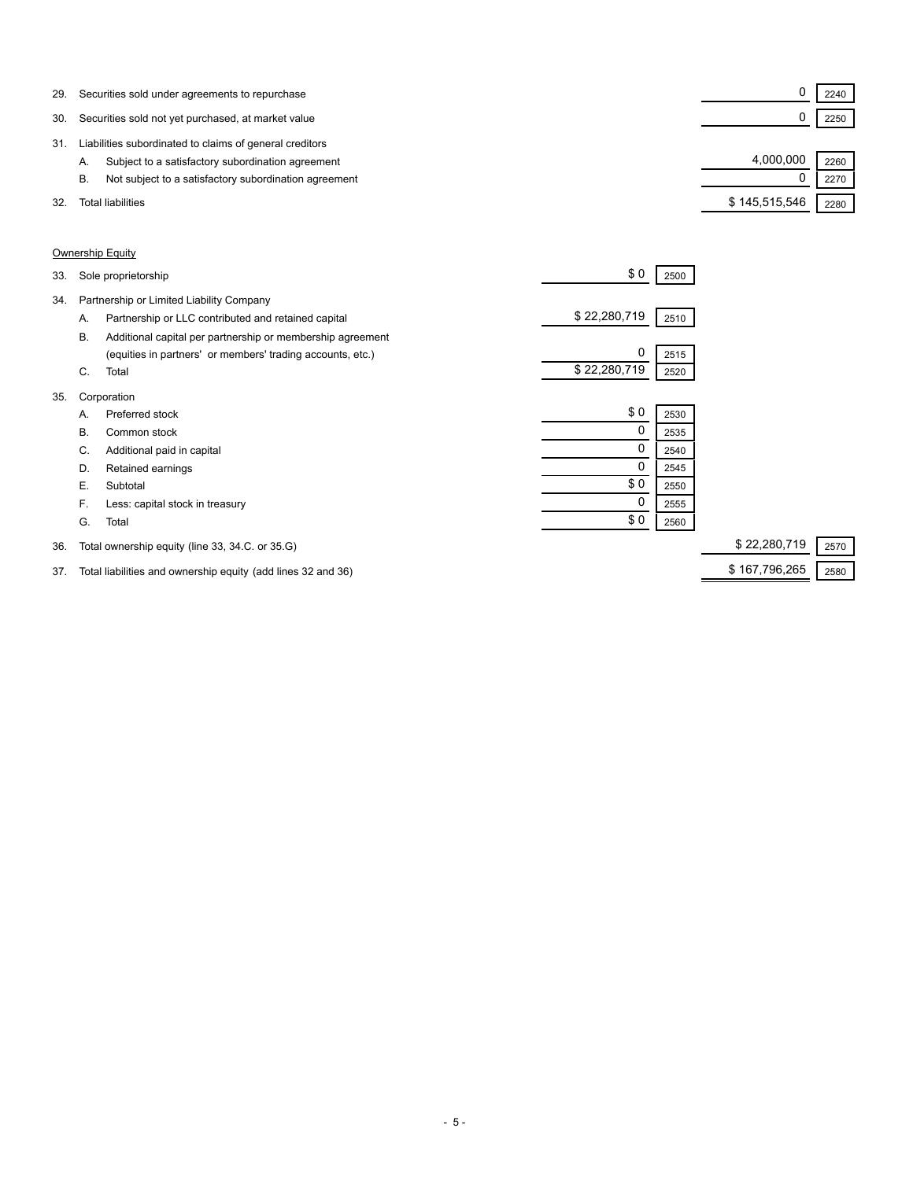| 29. | Securities sold under agreements to repurchase              |               | 2240 |
|-----|-------------------------------------------------------------|---------------|------|
| 30. | Securities sold not yet purchased, at market value          |               | 2250 |
| 31  | Liabilities subordinated to claims of general creditors     |               |      |
|     | Subject to a satisfactory subordination agreement<br>А.     | 4,000,000     | 2260 |
|     | Not subject to a satisfactory subordination agreement<br>В. |               | 2270 |
| 32. | Total liabilities                                           | \$145,515,546 | 2280 |

#### Ownership Equity

| 33. |                                          | Sole proprietorship                                        | \$0          | 2500 |              |      |
|-----|------------------------------------------|------------------------------------------------------------|--------------|------|--------------|------|
| 34. | Partnership or Limited Liability Company |                                                            |              |      |              |      |
|     | А.                                       | Partnership or LLC contributed and retained capital        | \$22,280,719 | 2510 |              |      |
|     | В.                                       | Additional capital per partnership or membership agreement |              |      |              |      |
|     |                                          | (equities in partners' or members' trading accounts, etc.) | 0            | 2515 |              |      |
|     | C.                                       | Total                                                      | \$22,280,719 | 2520 |              |      |
| 35. |                                          | Corporation                                                |              |      |              |      |
|     | А.                                       | Preferred stock                                            | \$0          | 2530 |              |      |
|     | В.                                       | Common stock                                               | $\mathbf 0$  | 2535 |              |      |
|     | C.                                       | Additional paid in capital                                 | 0            | 2540 |              |      |
|     | D.                                       | Retained earnings                                          | 0            | 2545 |              |      |
|     | Е.                                       | Subtotal                                                   | \$0          | 2550 |              |      |
|     | F.                                       | Less: capital stock in treasury                            | 0            | 2555 |              |      |
|     | G.                                       | Total                                                      | \$0          | 2560 |              |      |
| 36. |                                          | Total ownership equity (line 33, 34.C. or 35.G)            |              |      | \$22,280,719 | 2570 |

## 37. Total liabilities and ownership equity (add lines 32 and 36) \$ 167,796,265 3580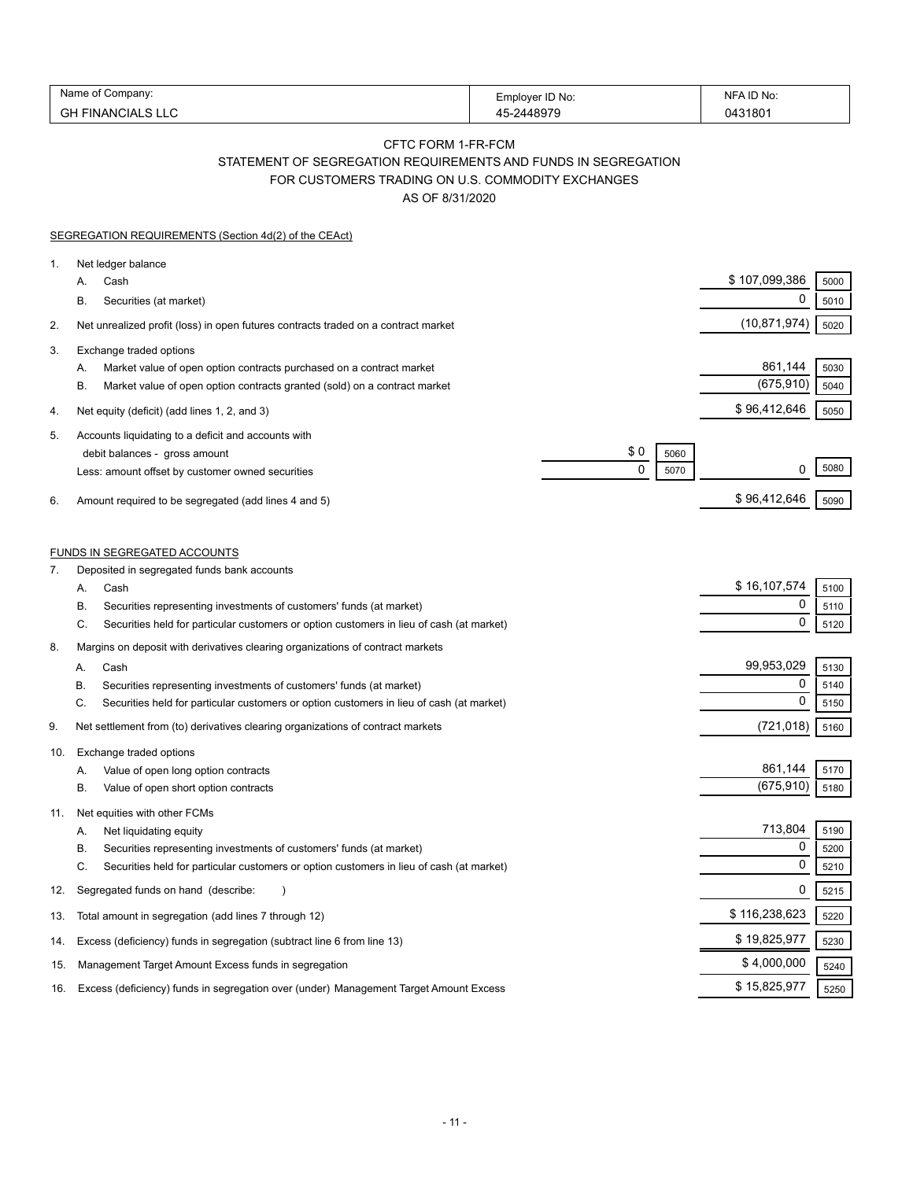| Name of C              |                 | NFA ID No: |
|------------------------|-----------------|------------|
| . Company <sup>.</sup> | Employer ID No: |            |
| GН                     | -2448070        | 31801      |
| FINANCIALS L           | ୵.              | 1147ء      |

#### CFTC FORM 1-FR-FCM

STATEMENT OF SEGREGATION REQUIREMENTS AND FUNDS IN SEGREGATION

FOR CUSTOMERS TRADING ON U.S. COMMODITY EXCHANGES

AS OF 8/31/2020

|     | SEGREGATION REQUIREMENTS (Section 4d(2) of the CEAct)                                                                                                                       |                 |              |
|-----|-----------------------------------------------------------------------------------------------------------------------------------------------------------------------------|-----------------|--------------|
| 1.  | Net ledger balance                                                                                                                                                          |                 |              |
|     | Cash<br>А.                                                                                                                                                                  | \$107,099,386   | 5000         |
|     | <b>B.</b><br>Securities (at market)                                                                                                                                         | 0               | 5010         |
| 2.  | Net unrealized profit (loss) in open futures contracts traded on a contract market                                                                                          | (10,871,974)    | 5020         |
| 3.  | Exchange traded options                                                                                                                                                     |                 |              |
|     | Market value of open option contracts purchased on a contract market<br>Α.                                                                                                  | 861,144         | 5030         |
|     | <b>B.</b><br>Market value of open option contracts granted (sold) on a contract market                                                                                      | (675, 910)      | 5040         |
| 4.  | Net equity (deficit) (add lines 1, 2, and 3)                                                                                                                                | \$96,412,646    | 5050         |
| 5.  | Accounts liquidating to a deficit and accounts with                                                                                                                         |                 |              |
|     | \$0<br>debit balances - gross amount<br>5060                                                                                                                                |                 |              |
|     | 0<br>5070<br>Less: amount offset by customer owned securities                                                                                                               | 0               | 5080         |
| 6.  | Amount required to be segregated (add lines 4 and 5)                                                                                                                        | \$96,412,646    | 5090         |
|     |                                                                                                                                                                             |                 |              |
|     | <b>FUNDS IN SEGREGATED ACCOUNTS</b>                                                                                                                                         |                 |              |
| 7.  | Deposited in segregated funds bank accounts                                                                                                                                 |                 |              |
|     | А.<br>Cash                                                                                                                                                                  | \$16,107,574    | 5100         |
|     | Securities representing investments of customers' funds (at market)<br>В.<br>C.                                                                                             | 0<br>0          | 5110         |
|     | Securities held for particular customers or option customers in lieu of cash (at market)                                                                                    |                 | 5120         |
| 8.  | Margins on deposit with derivatives clearing organizations of contract markets                                                                                              |                 |              |
|     | Cash<br>А.                                                                                                                                                                  | 99,953,029<br>0 | 5130         |
|     | Securities representing investments of customers' funds (at market)<br>В.<br>C.<br>Securities held for particular customers or option customers in lieu of cash (at market) | $\Omega$        | 5140<br>5150 |
| 9.  | Net settlement from (to) derivatives clearing organizations of contract markets                                                                                             | (721, 018)      | 5160         |
|     |                                                                                                                                                                             |                 |              |
| 10. | Exchange traded options                                                                                                                                                     | 861,144         | 5170         |
|     | Value of open long option contracts<br>А.<br>В.<br>Value of open short option contracts                                                                                     | (675, 910)      | 5180         |
|     |                                                                                                                                                                             |                 |              |
| 11. | Net equities with other FCMs<br>Net liquidating equity<br>А.                                                                                                                | 713,804         | 5190         |
|     | В.<br>Securities representing investments of customers' funds (at market)                                                                                                   | 0               | 5200         |
|     | C.<br>Securities held for particular customers or option customers in lieu of cash (at market)                                                                              | 0               | 5210         |
| 12. | Segregated funds on hand (describe:                                                                                                                                         | 0               | 5215         |
| 13. | Total amount in segregation (add lines 7 through 12)                                                                                                                        | \$116,238,623   | 5220         |
| 14. | Excess (deficiency) funds in segregation (subtract line 6 from line 13)                                                                                                     | \$19,825,977    | 5230         |
| 15. | Management Target Amount Excess funds in segregation                                                                                                                        | \$4,000,000     | 5240         |
| 16. | Excess (deficiency) funds in segregation over (under) Management Target Amount Excess                                                                                       | \$15,825,977    | 5250         |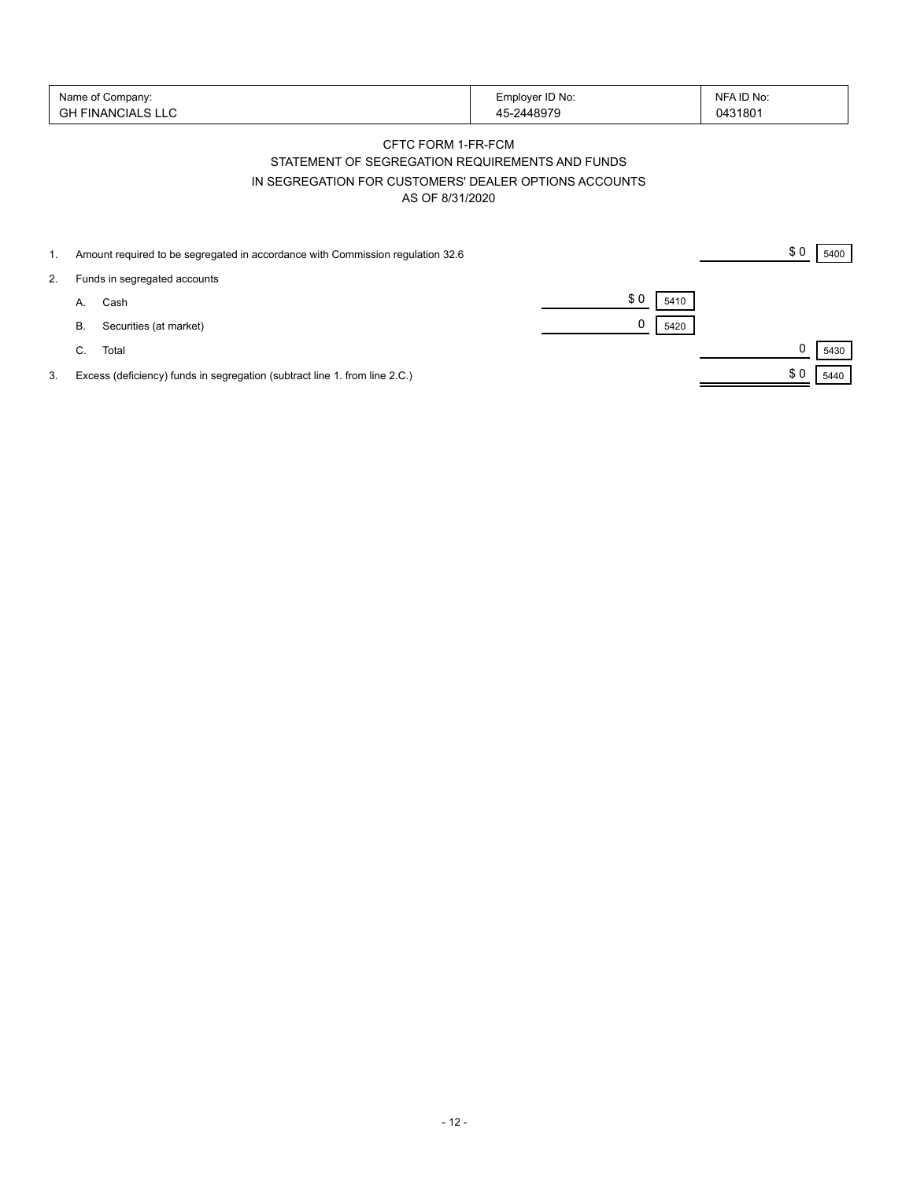| Name of Company:        | Employer ID No:             | NFA ID No: |
|-------------------------|-----------------------------|------------|
| '' FINANCIALS LLU<br>cц | 5-2448979<br>1 <sub>1</sub> | 0431801    |

## CFTC FORM 1-FR-FCM STATEMENT OF SEGREGATION REQUIREMENTS AND FUNDS IN SEGREGATION FOR CUSTOMERS' DEALER OPTIONS ACCOUNTS AS OF 8/31/2020

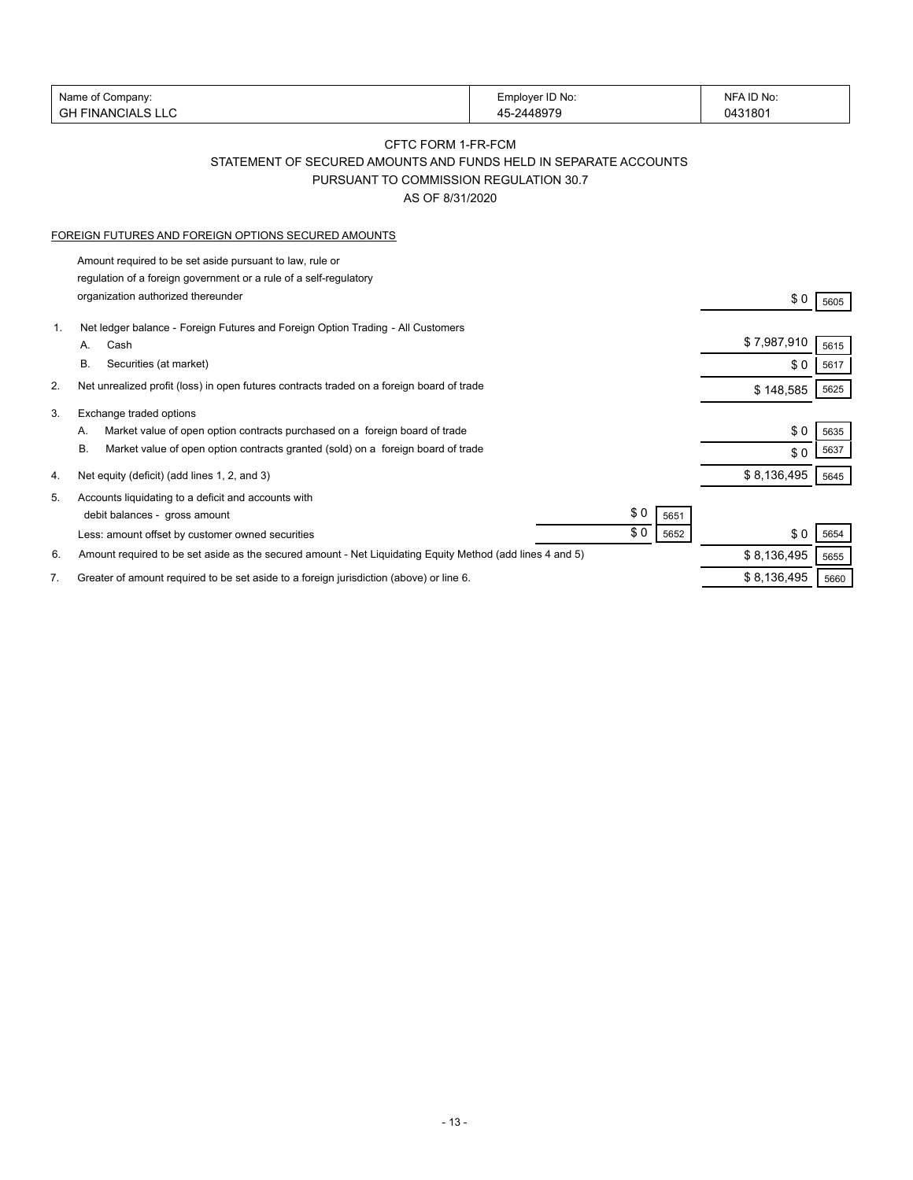| Name of Company:     | Employer ID No: | NFA ID No: |
|----------------------|-----------------|------------|
| FINANCIAL SILC<br>GH | -2448979        | 431801     |
|                      |                 |            |

## CFTC FORM 1-FR-FCM STATEMENT OF SECURED AMOUNTS AND FUNDS HELD IN SEPARATE ACCOUNTS PURSUANT TO COMMISSION REGULATION 30.7

AS OF 8/31/2020

#### FOREIGN FUTURES AND FOREIGN OPTIONS SECURED AMOUNTS

Amount required to be set aside pursuant to law, rule or regulation of a foreign government or a rule of a self-regulatory organization authorized thereunder \$ 0 <sup>5605</sup>

| 1. | Net ledger balance - Foreign Futures and Foreign Option Trading - All Customers                           |             |      |
|----|-----------------------------------------------------------------------------------------------------------|-------------|------|
|    | Cash<br>А.                                                                                                | \$7,987,910 | 5615 |
|    | В.<br>Securities (at market)                                                                              | \$0         | 5617 |
| 2. | Net unrealized profit (loss) in open futures contracts traded on a foreign board of trade                 | \$148,585   | 5625 |
| 3. | Exchange traded options                                                                                   |             |      |
|    | Market value of open option contracts purchased on a foreign board of trade<br>А.                         | \$0         | 5635 |
|    | В.<br>Market value of open option contracts granted (sold) on a foreign board of trade                    | \$0         | 5637 |
| 4. | Net equity (deficit) (add lines 1, 2, and 3)                                                              | \$8,136,495 | 5645 |
| 5. | Accounts liquidating to a deficit and accounts with                                                       |             |      |
|    | \$0<br>debit balances - gross amount<br>5651                                                              |             |      |
|    | \$0<br>5652<br>Less: amount offset by customer owned securities                                           | \$0         | 5654 |
| 6. | Amount required to be set aside as the secured amount - Net Liquidating Equity Method (add lines 4 and 5) | \$8,136,495 | 5655 |
|    | Greater of amount required to be set aside to a foreign jurisdiction (above) or line 6.                   | \$8,136,495 | 5660 |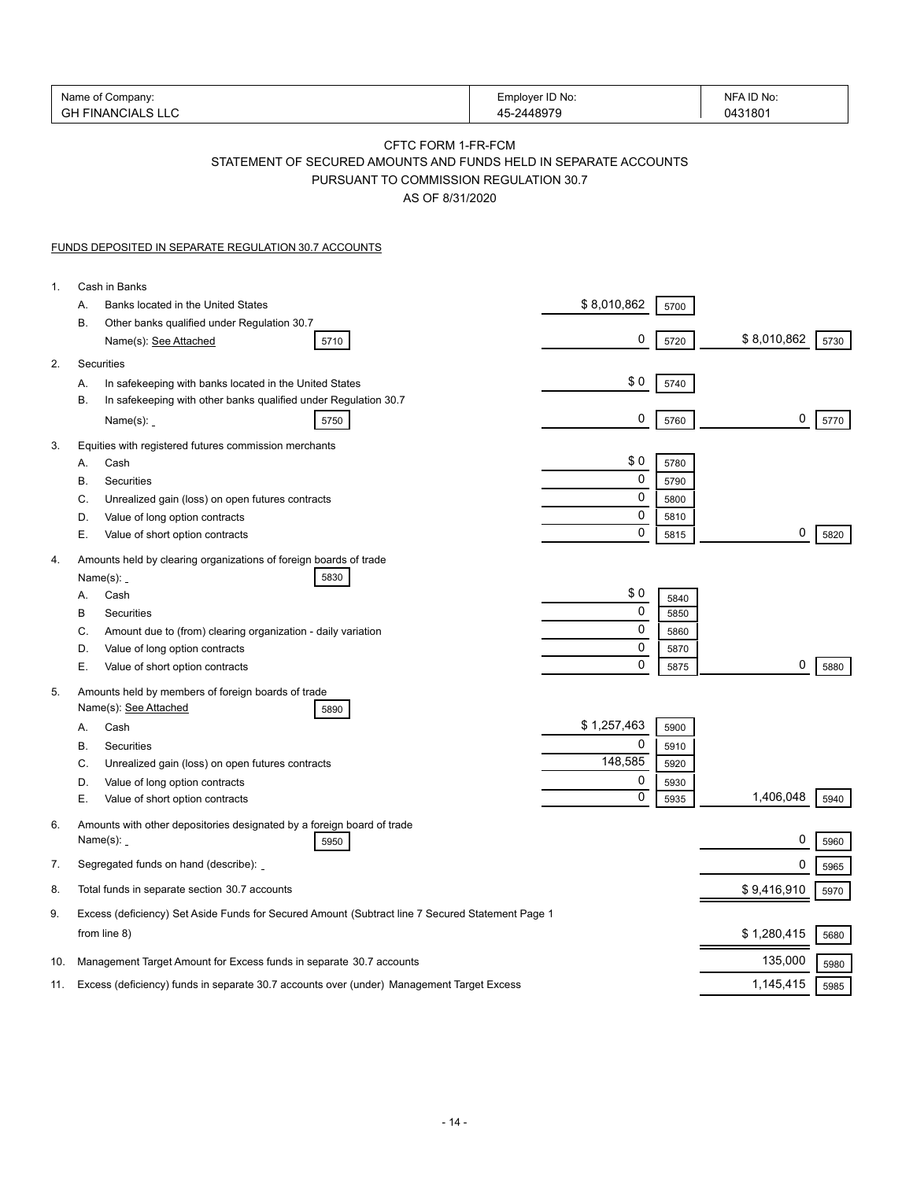| Name of Company:<br><b>GH FINANCIALS LLC</b> |                                                                                                                                                     | Employer ID No:<br>45-2448979 | NFA ID No:<br>0431801 |      |
|----------------------------------------------|-----------------------------------------------------------------------------------------------------------------------------------------------------|-------------------------------|-----------------------|------|
|                                              | CFTC FORM 1-FR-FCM<br>STATEMENT OF SECURED AMOUNTS AND FUNDS HELD IN SEPARATE ACCOUNTS<br>PURSUANT TO COMMISSION REGULATION 30.7<br>AS OF 8/31/2020 |                               |                       |      |
|                                              | <b>FUNDS DEPOSITED IN SEPARATE REGULATION 30.7 ACCOUNTS</b>                                                                                         |                               |                       |      |
| 1.                                           | Cash in Banks                                                                                                                                       |                               |                       |      |
|                                              | Banks located in the United States<br>А.                                                                                                            | \$8,010,862<br>5700           |                       |      |
|                                              | В.<br>Other banks qualified under Regulation 30.7                                                                                                   |                               |                       |      |
|                                              | Name(s): See Attached<br>5710                                                                                                                       | 0<br>5720                     | \$8,010,862           | 5730 |
| 2.                                           | Securities                                                                                                                                          | \$0                           |                       |      |
|                                              | In safekeeping with banks located in the United States<br>А.<br>In safekeeping with other banks qualified under Regulation 30.7<br>В.               | 5740                          |                       |      |
|                                              | Name $(s)$ : $\overline{\phantom{a}}$<br>5750                                                                                                       | 0<br>5760                     | 0                     | 5770 |
| 3.                                           | Equities with registered futures commission merchants                                                                                               |                               |                       |      |
|                                              | Cash<br>А.                                                                                                                                          | \$0<br>5780                   |                       |      |
|                                              | Securities<br>В.                                                                                                                                    | 0<br>5790                     |                       |      |
|                                              | C.<br>Unrealized gain (loss) on open futures contracts                                                                                              | 0<br>5800                     |                       |      |
|                                              | D.<br>Value of long option contracts                                                                                                                | 0<br>5810                     |                       |      |
|                                              | Е.<br>Value of short option contracts                                                                                                               | $\mathbf 0$<br>5815           | 0                     | 5820 |
| 4.                                           | Amounts held by clearing organizations of foreign boards of trade                                                                                   |                               |                       |      |
|                                              | Name $(s)$ : _<br>5830                                                                                                                              |                               |                       |      |
|                                              | Cash<br>А.                                                                                                                                          | \$0<br>5840                   |                       |      |
|                                              | В<br>Securities                                                                                                                                     | $\pmb{0}$<br>5850             |                       |      |
|                                              | C.<br>Amount due to (from) clearing organization - daily variation                                                                                  | 0<br>5860<br>0                |                       |      |
|                                              | D.<br>Value of long option contracts<br>Е.<br>Value of short option contracts                                                                       | 5870<br>$\mathbf 0$<br>5875   | 0                     | 5880 |
| 5.                                           | Amounts held by members of foreign boards of trade                                                                                                  |                               |                       |      |
|                                              | Name(s): See Attached<br>5890                                                                                                                       |                               |                       |      |
|                                              | Cash<br>А.                                                                                                                                          | \$1,257,463<br>5900           |                       |      |
|                                              | В<br>Securities                                                                                                                                     | $\Omega$<br>5910              |                       |      |
|                                              | С.<br>Unrealized gain (loss) on open futures contracts                                                                                              | 148,585<br>5920               |                       |      |
|                                              | Value of long option contracts<br>D.<br>Е.<br>Value of short option contracts                                                                       | 0<br>5930<br>0<br>5935        | 1,406,048             | 5940 |
|                                              |                                                                                                                                                     |                               |                       |      |
| 6.                                           | Amounts with other depositories designated by a foreign board of trade<br>Name(s): <b>_</b><br>5950                                                 |                               | 0                     | 5960 |
| 7.                                           | Segregated funds on hand (describe):                                                                                                                |                               | 0                     | 5965 |
| 8.                                           | Total funds in separate section 30.7 accounts                                                                                                       |                               | \$9,416,910           | 5970 |
| 9.                                           | Excess (deficiency) Set Aside Funds for Secured Amount (Subtract line 7 Secured Statement Page 1                                                    |                               |                       |      |
|                                              | from line 8)                                                                                                                                        |                               | \$1,280,415           | 5680 |
| 10.                                          | Management Target Amount for Excess funds in separate 30.7 accounts                                                                                 |                               | 135,000               | 5980 |
| 11.                                          | Excess (deficiency) funds in separate 30.7 accounts over (under) Management Target Excess                                                           | 1,145,415                     | 5985                  |      |